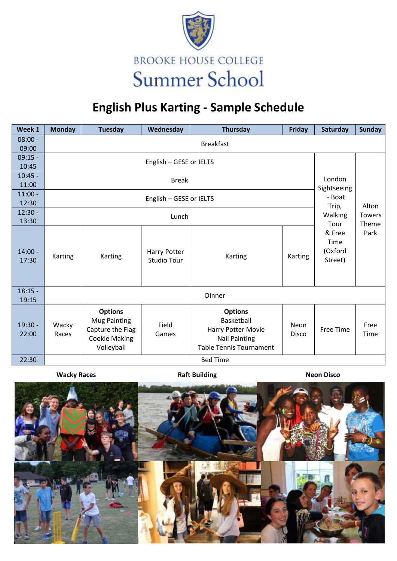

## **English Plus Karting - Sample Schedule**

| Week 1             | <b>Monday</b>                             | <b>Tuesday</b>                                                                                  | Wednesday                          | Thursday                                                                                                            | Friday                      | Saturday                             | <b>Sunday</b> |  |  |  |  |  |
|--------------------|-------------------------------------------|-------------------------------------------------------------------------------------------------|------------------------------------|---------------------------------------------------------------------------------------------------------------------|-----------------------------|--------------------------------------|---------------|--|--|--|--|--|
| $08:00 -$          | <b>Breakfast</b>                          |                                                                                                 |                                    |                                                                                                                     |                             |                                      |               |  |  |  |  |  |
| 09:00              |                                           |                                                                                                 |                                    |                                                                                                                     |                             |                                      |               |  |  |  |  |  |
| $09:15 -$<br>10:45 |                                           |                                                                                                 |                                    |                                                                                                                     |                             |                                      |               |  |  |  |  |  |
| $10:45 -$          |                                           |                                                                                                 |                                    |                                                                                                                     |                             |                                      |               |  |  |  |  |  |
| 11:00              |                                           | London<br>Sightseeing<br>- Boat                                                                 |                                    |                                                                                                                     |                             |                                      |               |  |  |  |  |  |
| $11:00 -$          |                                           |                                                                                                 |                                    |                                                                                                                     |                             |                                      |               |  |  |  |  |  |
| 12:30              | English - GESE or IELTS<br>Trip,<br>Alton |                                                                                                 |                                    |                                                                                                                     |                             |                                      |               |  |  |  |  |  |
| $12:30 -$          | Walking<br><b>Towers</b><br>Lunch         |                                                                                                 |                                    |                                                                                                                     |                             |                                      |               |  |  |  |  |  |
| 13:30              |                                           | Tour                                                                                            | Theme                              |                                                                                                                     |                             |                                      |               |  |  |  |  |  |
| $14:00 -$<br>17:30 | Karting                                   | Karting                                                                                         | Harry Potter<br><b>Studio Tour</b> | Karting                                                                                                             | Karting                     | & Free<br>Time<br>(Oxford<br>Street) | Park          |  |  |  |  |  |
| $18:15 -$<br>19:15 | Dinner                                    |                                                                                                 |                                    |                                                                                                                     |                             |                                      |               |  |  |  |  |  |
| $19:30 -$<br>22:00 | Wacky<br>Races                            | <b>Options</b><br><b>Mug Painting</b><br>Capture the Flag<br><b>Cookie Making</b><br>Volleyball | Field<br>Games                     | <b>Options</b><br><b>Basketball</b><br>Harry Potter Movie<br><b>Nail Painting</b><br><b>Table Tennis Tournament</b> | <b>Neon</b><br><b>Disco</b> | Free Time                            | Free<br>Time  |  |  |  |  |  |
| 22:30              | <b>Bed Time</b>                           |                                                                                                 |                                    |                                                                                                                     |                             |                                      |               |  |  |  |  |  |

**Wacky Races Raft Building Raft Building Neon Disco**